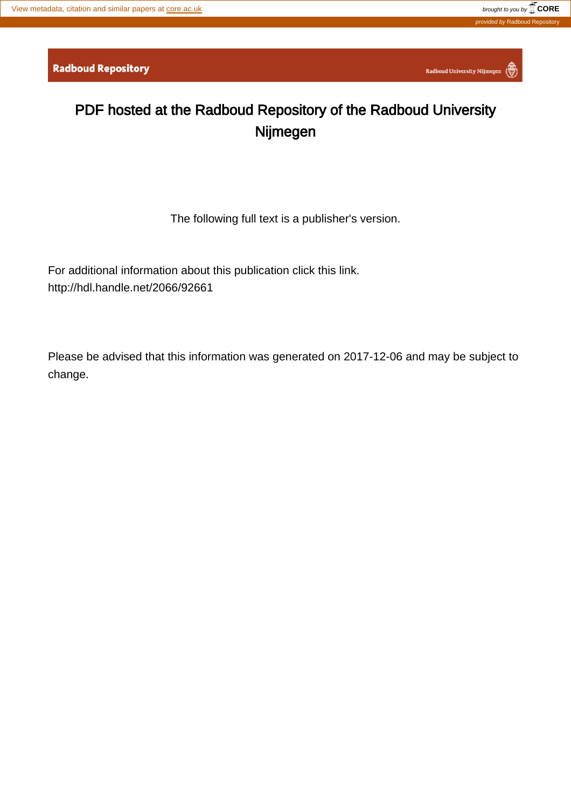Radboud University Nijmegen

## PDF hosted at the Radboud Repository of the Radboud University Nijmegen

The following full text is a publisher's version.

For additional information about this publication click this link. <http://hdl.handle.net/2066/92661>

Please be advised that this information was generated on 2017-12-06 and may be subject to change.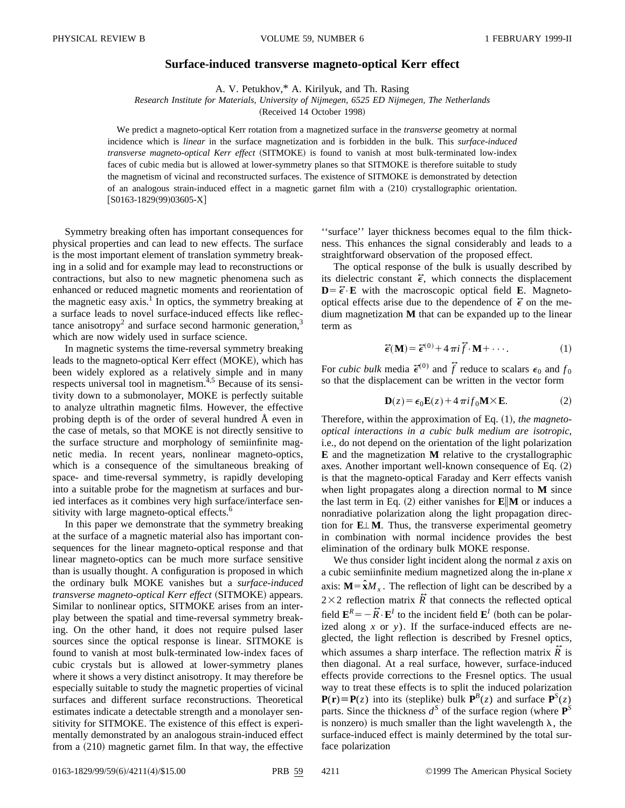## **Surface-induced transverse magneto-optical Kerr effect**

A. V. Petukhov,\* A. Kirilyuk, and Th. Rasing

*Research Institute for Materials, University of Nijmegen, 6525 ED Nijmegen, The Netherlands*

(Received 14 October 1998)

We predict a magneto-optical Kerr rotation from a magnetized surface in the *transverse* geometry at normal incidence which is *linear* in the surface magnetization and is forbidden in the bulk. This *surface-induced transverse magneto-optical Kerr effect* (SITMOKE) is found to vanish at most bulk-terminated low-index faces of cubic media but is allowed at lower-symmetry planes so that SITMOKE is therefore suitable to study the magnetism of vicinal and reconstructed surfaces. The existence of SITMOKE is demonstrated by detection of an analogous strain-induced effect in a magnetic garnet film with a  $(210)$  crystallographic orientation.  $[SO163-1829(99)03605-X]$ 

Symmetry breaking often has important consequences for physical properties and can lead to new effects. The surface is the most important element of translation symmetry breaking in a solid and for example may lead to reconstructions or contractions, but also to new magnetic phenomena such as enhanced or reduced magnetic moments and reorientation of the magnetic easy  $axis.<sup>1</sup>$  In optics, the symmetry breaking at a surface leads to novel surface-induced effects like reflectance anisotropy<sup>2</sup> and surface second harmonic generation,<sup>3</sup> which are now widely used in surface science.

In magnetic systems the time-reversal symmetry breaking leads to the magneto-optical Kerr effect (MOKE), which has been widely explored as a relatively simple and in many respects universal tool in magnetism.<sup>4,5</sup> Because of its sensitivity down to a submonolayer, MOKE is perfectly suitable to analyze ultrathin magnetic films. However, the effective probing depth is of the order of several hundred Å even in the case of metals, so that MOKE is not directly sensitive to the surface structure and morphology of semiinfinite magnetic media. In recent years, nonlinear magneto-optics, which is a consequence of the simultaneous breaking of space- and time-reversal symmetry, is rapidly developing into a suitable probe for the magnetism at surfaces and buried interfaces as it combines very high surface/interface sensitivity with large magneto-optical effects.<sup>6</sup>

In this paper we demonstrate that the symmetry breaking at the surface of a magnetic material also has important consequences for the linear magneto-optical response and that linear magneto-optics can be much more surface sensitive than is usually thought. A configuration is proposed in which the ordinary bulk MOKE vanishes but a *surface-induced transverse magneto-optical Kerr effect* (SITMOKE) appears. Similar to nonlinear optics, SITMOKE arises from an interplay between the spatial and time-reversal symmetry breaking. On the other hand, it does not require pulsed laser sources since the optical response is linear. SITMOKE is found to vanish at most bulk-terminated low-index faces of cubic crystals but is allowed at lower-symmetry planes where it shows a very distinct anisotropy. It may therefore be especially suitable to study the magnetic properties of vicinal surfaces and different surface reconstructions. Theoretical estimates indicate a detectable strength and a monolayer sensitivity for SITMOKE. The existence of this effect is experimentally demonstrated by an analogous strain-induced effect from a  $(210)$  magnetic garnet film. In that way, the effective ''surface'' layer thickness becomes equal to the film thickness. This enhances the signal considerably and leads to a straightforward observation of the proposed effect.

The optical response of the bulk is usually described by its dielectric constant  $\vec{\epsilon}$ , which connects the displacement  $D = \vec{\epsilon} \cdot \mathbf{E}$  with the macroscopic optical field **E**. Magnetooptical effects arise due to the dependence of  $\tilde{\epsilon}$  on the medium magnetization **M** that can be expanded up to the linear term as

$$
\vec{\epsilon}(\mathbf{M}) = \vec{\epsilon}^{(0)} + 4\pi i \vec{f} \cdot \mathbf{M} + \cdots.
$$
 (1)

For *cubic bulk* media  $\tilde{\epsilon}^{(0)}$  and  $\tilde{f}$  reduce to scalars  $\epsilon_0$  and  $f_0$ so that the displacement can be written in the vector form

$$
\mathbf{D}(z) = \epsilon_0 \mathbf{E}(z) + 4\pi i f_0 \mathbf{M} \times \mathbf{E}.
$$
 (2)

Therefore, within the approximation of Eq. (1), *the magnetooptical interactions in a cubic bulk medium are isotropic*, i.e., do not depend on the orientation of the light polarization **E** and the magnetization **M** relative to the crystallographic axes. Another important well-known consequence of Eq.  $(2)$ is that the magneto-optical Faraday and Kerr effects vanish when light propagates along a direction normal to **M** since the last term in Eq.  $(2)$  either vanishes for  $\mathbf{E}||\mathbf{M}$  or induces a nonradiative polarization along the light propagation direction for  $E \perp M$ . Thus, the transverse experimental geometry in combination with normal incidence provides the best elimination of the ordinary bulk MOKE response.

We thus consider light incident along the normal *z* axis on a cubic semiinfinite medium magnetized along the in-plane *x* axis:  $M = \hat{x}M_x$ . The reflection of light can be described by a  $2\times2$  reflection matrix  $\vec{R}$  that connects the reflected optical field  $\mathbf{E}^R = -\tilde{R} \cdot \mathbf{E}^I$  to the incident field  $\mathbf{E}^I$  (both can be polarized along *x* or *y*). If the surface-induced effects are neglected, the light reflection is described by Fresnel optics, which assumes a sharp interface. The reflection matrix  $\tilde{R}$  is then diagonal. At a real surface, however, surface-induced effects provide corrections to the Fresnel optics. The usual way to treat these effects is to split the induced polarization  $P(r) \equiv P(z)$  into its (steplike) bulk  $P^B(z)$  and surface  $P^S(z)$ parts. Since the thickness  $d^S$  of the surface region (where  $\mathbf{P}^S$ is nonzero) is much smaller than the light wavelength  $\lambda$ , the surface-induced effect is mainly determined by the total surface polarization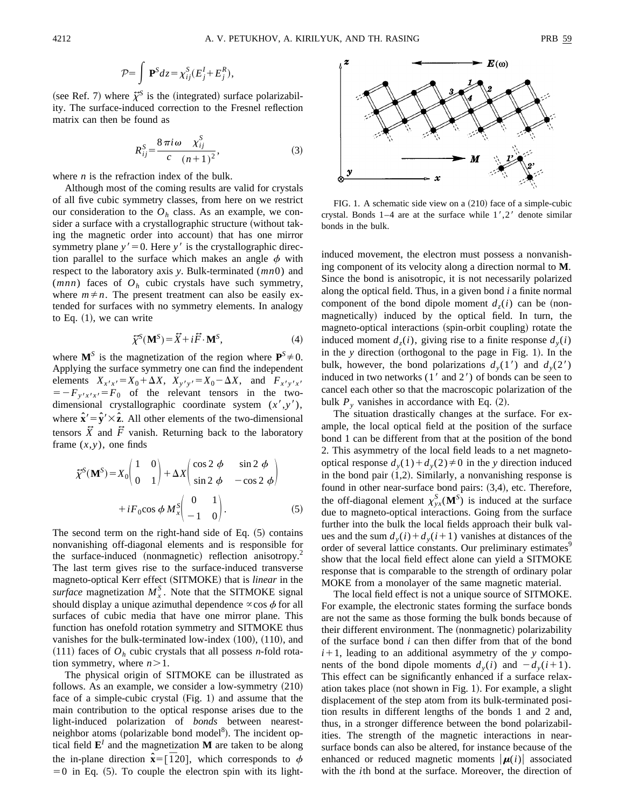$$
\mathcal{P} = \int \mathbf{P}^S dz = \chi_{ij}^S (E_j^I + E_j^R),
$$

(see Ref. 7) where  $\tilde{\chi}^S$  is the (integrated) surface polarizability. The surface-induced correction to the Fresnel reflection matrix can then be found as

$$
R_{ij}^{S} = \frac{8\,\pi i \,\omega \, X_{ij}^{S}}{c \, (n+1)^{2}},\tag{3}
$$

where *n* is the refraction index of the bulk.

Although most of the coming results are valid for crystals of all five cubic symmetry classes, from here on we restrict our consideration to the  $O<sub>h</sub>$  class. As an example, we consider a surface with a crystallographic structure (without taking the magnetic order into account) that has one mirror symmetry plane  $y' = 0$ . Here  $y'$  is the crystallographic direction parallel to the surface which makes an angle  $\phi$  with respect to the laboratory axis *y*. Bulk-terminated (*mn*0) and (*mnn*) faces of *Oh* cubic crystals have such symmetry, where  $m \neq n$ . The present treatment can also be easily extended for surfaces with no symmetry elements. In analogy to Eq.  $(1)$ , we can write

$$
\widetilde{\chi}^{S}(\mathbf{M}^{S}) = \widetilde{X} + i\widetilde{F} \cdot \mathbf{M}^{S}, \tag{4}
$$

where  $\mathbf{M}^S$  is the magnetization of the region where  $\mathbf{P}^S \neq 0$ . Applying the surface symmetry one can find the independent elements  $X_{x'x'} = X_0 + \Delta X$ ,  $X_{y'y'}$ elements  $X_{x^2x^3} = X_0 + \Delta X$ ,  $X_{y^2y^3} = X_0 - \Delta X$ , and  $F_{x^2y^3x^3} = -F_{y^2x^3x^3} = F_0$  of the relevant tensors in the twodimensional crystallographic coordinate system  $(x', y')$ , where  $\hat{\mathbf{x}}' = \hat{\mathbf{y}}' \times \hat{\mathbf{z}}$ . All other elements of the two-dimensional tensors  $\vec{X}$  and  $\vec{F}$  vanish. Returning back to the laboratory frame  $(x,y)$ , one finds

$$
\tilde{\chi}^{S}(\mathbf{M}^{S}) = X_{0} \begin{pmatrix} 1 & 0 \\ 0 & 1 \end{pmatrix} + \Delta X \begin{pmatrix} \cos 2 \phi & \sin 2 \phi \\ \sin 2 \phi & -\cos 2 \phi \end{pmatrix}
$$

$$
+ iF_{0} \cos \phi M_{x}^{S} \begin{pmatrix} 0 & 1 \\ -1 & 0 \end{pmatrix}.
$$
 (5)

The second term on the right-hand side of Eq.  $(5)$  contains nonvanishing off-diagonal elements and is responsible for the surface-induced (nonmagnetic) reflection anisotropy. $2$ The last term gives rise to the surface-induced transverse magneto-optical Kerr effect (SITMOKE) that is *linear* in the *surface* magnetization  $M_x^S$ . Note that the SITMOKE signal should display a unique azimuthal dependence  $\propto$ cos  $\phi$  for all surfaces of cubic media that have one mirror plane. This function has onefold rotation symmetry and SITMOKE thus vanishes for the bulk-terminated low-index  $(100)$ ,  $(110)$ , and  $(111)$  faces of  $O<sub>h</sub>$  cubic crystals that all possess *n*-fold rotation symmetry, where  $n > 1$ .

The physical origin of SITMOKE can be illustrated as follows. As an example, we consider a low-symmetry  $(210)$ face of a simple-cubic crystal  $(Fig. 1)$  and assume that the main contribution to the optical response arises due to the light-induced polarization of *bonds* between nearestneighbor atoms (polarizable bond model<sup>8</sup>). The incident optical field  $\mathbf{E}^I$  and the magnetization **M** are taken to be along the in-plane direction  $\hat{\mathbf{x}} = [\overline{1}20]$ , which corresponds to  $\phi$  $=0$  in Eq. (5). To couple the electron spin with its light-



FIG. 1. A schematic side view on a  $(210)$  face of a simple-cubic crystal. Bonds  $1-4$  are at the surface while  $1', 2'$  denote similar bonds in the bulk.

induced movement, the electron must possess a nonvanishing component of its velocity along a direction normal to **M**. Since the bond is anisotropic, it is not necessarily polarized along the optical field. Thus, in a given bond *i* a finite normal component of the bond dipole moment  $d_7(i)$  can be (nonmagnetically) induced by the optical field. In turn, the magneto-optical interactions (spin-orbit coupling) rotate the induced moment  $d_z(i)$ , giving rise to a finite response  $d_y(i)$ in the *y* direction (orthogonal to the page in Fig. 1). In the bulk, however, the bond polarizations  $d<sub>v</sub>(1')$  and  $d<sub>v</sub>(2')$ induced in two networks  $(1'$  and  $2')$  of bonds can be seen to cancel each other so that the macroscopic polarization of the bulk  $P_y$  vanishes in accordance with Eq.  $(2)$ .

The situation drastically changes at the surface. For example, the local optical field at the position of the surface bond 1 can be different from that at the position of the bond 2. This asymmetry of the local field leads to a net magnetooptical response  $d_v(1) + d_v(2) \neq 0$  in the *y* direction induced in the bond pair  $(1,2)$ . Similarly, a nonvanishing response is found in other near-surface bond pairs:  $(3,4)$ , etc. Therefore, the off-diagonal element  $\chi^S_{yx}(\mathbf{M}^S)$  is induced at the surface due to magneto-optical interactions. Going from the surface further into the bulk the local fields approach their bulk values and the sum  $d_v(i) + d_v(i+1)$  vanishes at distances of the order of several lattice constants. Our preliminary estimates<sup>9</sup> show that the local field effect alone can yield a SITMOKE response that is comparable to the strength of ordinary polar MOKE from a monolayer of the same magnetic material.

The local field effect is not a unique source of SITMOKE. For example, the electronic states forming the surface bonds are not the same as those forming the bulk bonds because of their different environment. The (nonmagnetic) polarizability of the surface bond *i* can then differ from that of the bond  $i+1$ , leading to an additional asymmetry of the *y* components of the bond dipole moments  $d<sub>v</sub>(i)$  and  $-d<sub>v</sub>(i+1)$ . This effect can be significantly enhanced if a surface relaxation takes place (not shown in Fig. 1). For example, a slight displacement of the step atom from its bulk-terminated position results in different lengths of the bonds 1 and 2 and, thus, in a stronger difference between the bond polarizabilities. The strength of the magnetic interactions in nearsurface bonds can also be altered, for instance because of the enhanced or reduced magnetic moments  $|\mu(i)|$  associated with the *i*th bond at the surface. Moreover, the direction of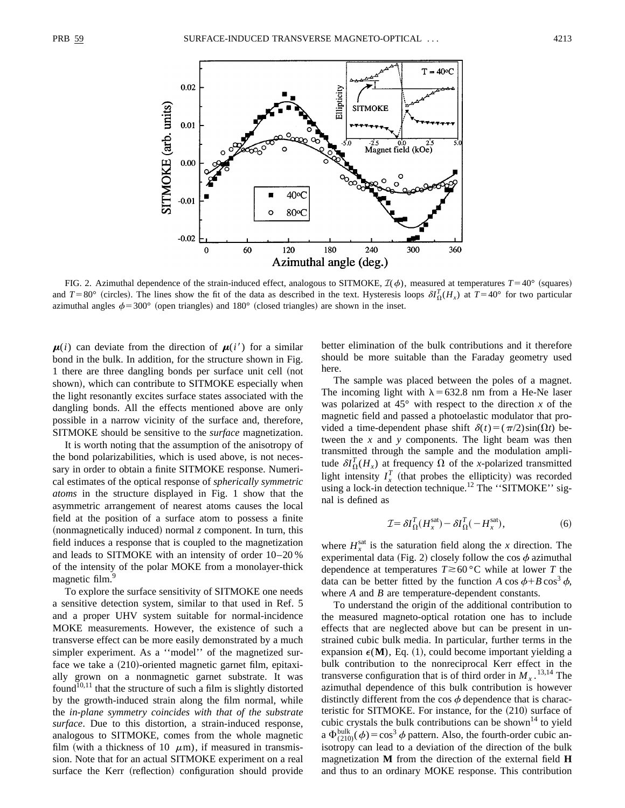

FIG. 2. Azimuthal dependence of the strain-induced effect, analogous to SITMOKE,  $\mathcal{I}(\phi)$ , measured at temperatures  $T=40^{\circ}$  (squares) and  $T=80^\circ$  (circles). The lines show the fit of the data as described in the text. Hysteresis loops  $\delta l_{\Omega}^T(H_x)$  at  $T=40^\circ$  for two particular azimuthal angles  $\phi$  = 300° (open triangles) and 180° (closed triangles) are shown in the inset.

 $\mu(i)$  can deviate from the direction of  $\mu(i')$  for a similar bond in the bulk. In addition, for the structure shown in Fig. 1 there are three dangling bonds per surface unit cell (not shown), which can contribute to SITMOKE especially when the light resonantly excites surface states associated with the dangling bonds. All the effects mentioned above are only possible in a narrow vicinity of the surface and, therefore, SITMOKE should be sensitive to the *surface* magnetization.

It is worth noting that the assumption of the anisotropy of the bond polarizabilities, which is used above, is not necessary in order to obtain a finite SITMOKE response. Numerical estimates of the optical response of *spherically symmetric atoms* in the structure displayed in Fig. 1 show that the asymmetric arrangement of nearest atoms causes the local field at the position of a surface atom to possess a finite  $(nonmagnetically induced) normal z component. In turn, this$ field induces a response that is coupled to the magnetization and leads to SITMOKE with an intensity of order 10–20 % of the intensity of the polar MOKE from a monolayer-thick magnetic film.<sup>9</sup>

To explore the surface sensitivity of SITMOKE one needs a sensitive detection system, similar to that used in Ref. 5 and a proper UHV system suitable for normal-incidence MOKE measurements. However, the existence of such a transverse effect can be more easily demonstrated by a much simpler experiment. As a ''model'' of the magnetized surface we take a  $(210)$ -oriented magnetic garnet film, epitaxially grown on a nonmagnetic garnet substrate. It was found<sup>10,11</sup> that the structure of such a film is slightly distorted by the growth-induced strain along the film normal, while the *in-plane symmetry coincides with that of the substrate surface*. Due to this distortion, a strain-induced response, analogous to SITMOKE, comes from the whole magnetic film (with a thickness of 10  $\mu$ m), if measured in transmission. Note that for an actual SITMOKE experiment on a real surface the Kerr (reflection) configuration should provide better elimination of the bulk contributions and it therefore should be more suitable than the Faraday geometry used here.

The sample was placed between the poles of a magnet. The incoming light with  $\lambda$  = 632.8 nm from a He-Ne laser was polarized at  $45^\circ$  with respect to the direction *x* of the magnetic field and passed a photoelastic modulator that provided a time-dependent phase shift  $\delta(t)=(\pi/2)\sin(\Omega t)$  between the *x* and *y* components. The light beam was then transmitted through the sample and the modulation amplitude  $\delta I_{\Omega}^{T}(H_{x})$  at frequency  $\Omega$  of the *x*-polarized transmitted light intensity  $I_x^T$  (that probes the ellipticity) was recorded using a lock-in detection technique.<sup>12</sup> The "SITMOKE" signal is defined as

$$
\mathcal{I} = \delta I_{\Omega}^T (H_x^{\text{sat}}) - \delta I_{\Omega}^T (-H_x^{\text{sat}}), \tag{6}
$$

where  $H_x^{\text{sat}}$  is the saturation field along the *x* direction. The experimental data (Fig. 2) closely follow the cos  $\phi$  azimuthal dependence at temperatures  $T \ge 60$  °C while at lower *T* the data can be better fitted by the function *A* cos  $\phi + B \cos^3 \phi$ , where *A* and *B* are temperature-dependent constants.

To understand the origin of the additional contribution to the measured magneto-optical rotation one has to include effects that are neglected above but can be present in unstrained cubic bulk media. In particular, further terms in the expansion  $\epsilon(M)$ , Eq. (1), could become important yielding a bulk contribution to the nonreciprocal Kerr effect in the transverse configuration that is of third order in  $M_x$ .<sup>13,14</sup> The azimuthal dependence of this bulk contribution is however distinctly different from the cos  $\phi$  dependence that is characteristic for SITMOKE. For instance, for the  $(210)$  surface of cubic crystals the bulk contributions can be shown<sup>14</sup> to yield a  $\Phi_{(210)}^{\text{bulk}}(\phi) = \cos^3 \phi$  pattern. Also, the fourth-order cubic anisotropy can lead to a deviation of the direction of the bulk magnetization **M** from the direction of the external field **H** and thus to an ordinary MOKE response. This contribution